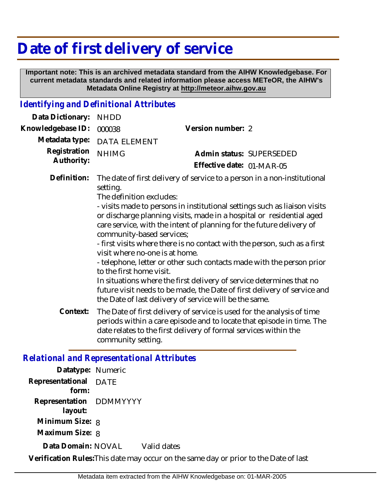## **Date of first delivery of service**

 **Important note: This is an archived metadata standard from the AIHW Knowledgebase. For current metadata standards and related information please access METeOR, the AIHW's Metadata Online Registry at http://meteor.aihw.gov.au**

## *Identifying and Definitional Attributes*

| Data Dictionary:                                  | <b>NHDD</b>                                                                                                                     |                                                                                                                                                                                                                                                                                                                                                                                                                                                                                                                                                                                                                                                                           |
|---------------------------------------------------|---------------------------------------------------------------------------------------------------------------------------------|---------------------------------------------------------------------------------------------------------------------------------------------------------------------------------------------------------------------------------------------------------------------------------------------------------------------------------------------------------------------------------------------------------------------------------------------------------------------------------------------------------------------------------------------------------------------------------------------------------------------------------------------------------------------------|
| Knowledgebase ID:                                 | 000038                                                                                                                          | Version number: 2                                                                                                                                                                                                                                                                                                                                                                                                                                                                                                                                                                                                                                                         |
| Metadata type:                                    | <b>DATA ELEMENT</b>                                                                                                             |                                                                                                                                                                                                                                                                                                                                                                                                                                                                                                                                                                                                                                                                           |
| Registration<br>Authority:                        | <b>NHIMG</b>                                                                                                                    | Admin status: SUPERSEDED                                                                                                                                                                                                                                                                                                                                                                                                                                                                                                                                                                                                                                                  |
|                                                   |                                                                                                                                 | Effective date: 01-MAR-05                                                                                                                                                                                                                                                                                                                                                                                                                                                                                                                                                                                                                                                 |
| Definition:                                       | setting.<br>The definition excludes:<br>community-based services;<br>visit where no-one is at home.<br>to the first home visit. | The date of first delivery of service to a person in a non-institutional<br>- visits made to persons in institutional settings such as liaison visits<br>or discharge planning visits, made in a hospital or residential aged<br>care service, with the intent of planning for the future delivery of<br>- first visits where there is no contact with the person, such as a first<br>- telephone, letter or other such contacts made with the person prior<br>In situations where the first delivery of service determines that no<br>future visit needs to be made, the Date of first delivery of service and<br>the Date of last delivery of service will be the same. |
| Context:                                          | community setting.                                                                                                              | The Date of first delivery of service is used for the analysis of time<br>periods within a care episode and to locate that episode in time. The<br>date relates to the first delivery of formal services within the                                                                                                                                                                                                                                                                                                                                                                                                                                                       |
| <b>Relational and Representational Attributes</b> |                                                                                                                                 |                                                                                                                                                                                                                                                                                                                                                                                                                                                                                                                                                                                                                                                                           |

| Datatype: Numeric                  |                                                                                          |
|------------------------------------|------------------------------------------------------------------------------------------|
| Representational DATE<br>form:     |                                                                                          |
| Representation DDMMYYYY<br>layout: |                                                                                          |
| Minimum Size: 8                    |                                                                                          |
| Maximum Size: 8                    |                                                                                          |
| Data Domain: NOVAL                 | Valid dates                                                                              |
|                                    | . Vikalfikation Dalen Tille der er er er er ett er er er er er eller beginnt. Det er fil |

**Verification Rules:**This date may occur on the same day or prior to the Date of last